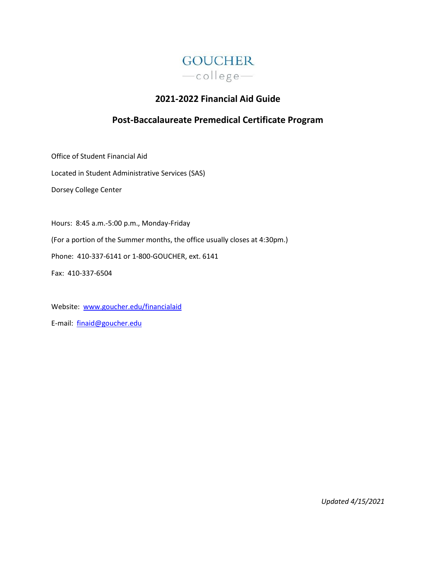

# **2021-2022 Financial Aid Guide**

# **Post-Baccalaureate Premedical Certificate Program**

Office of Student Financial Aid

Located in Student Administrative Services (SAS)

Dorsey College Center

Hours: 8:45 a.m.-5:00 p.m., Monday-Friday (For a portion of the Summer months, the office usually closes at 4:30pm.) Phone: 410-337-6141 or 1-800-GOUCHER, ext. 6141 Fax: 410-337-6504

Website: [www.goucher.edu/financialaid](http://www.goucher.edu/financialaid) E-mail: [finaid@goucher.edu](mailto:finaid@goucher.edu)

*Updated 4/15/2021*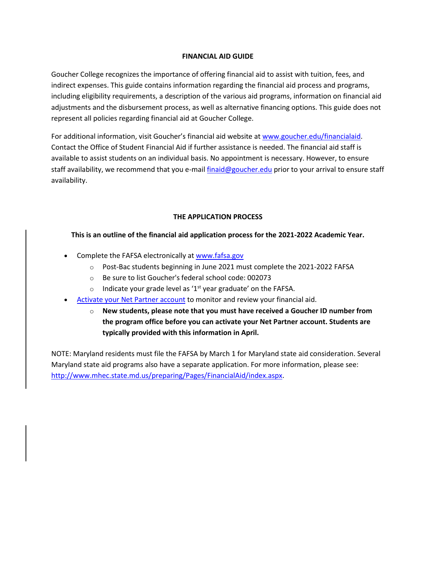# **FINANCIAL AID GUIDE**

Goucher College recognizes the importance of offering financial aid to assist with tuition, fees, and indirect expenses. This guide contains information regarding the financial aid process and programs, including eligibility requirements, a description of the various aid programs, information on financial aid adjustments and the disbursement process, as well as alternative financing options. This guide does not represent all policies regarding financial aid at Goucher College.

For additional information, visit Goucher's financial aid website at [www.goucher.edu/financialaid.](http://www.goucher.edu/financialaid) Contact the Office of Student Financial Aid if further assistance is needed. The financial aid staff is available to assist students on an individual basis. No appointment is necessary. However, to ensure staff availability, we recommend that you e-mai[l finaid@goucher.edu](mailto:finaid@goucher.edu) prior to your arrival to ensure staff availability.

# **THE APPLICATION PROCESS**

# **This is an outline of the financial aid application process for the 2021-2022 Academic Year.**

- Complete the FAFSA electronically at [www.fafsa.gov](http://www.fafsa.gov/)
	- o Post-Bac students beginning in June 2021 must complete the 2021-2022 FAFSA
	- o Be sure to list Goucher's federal school code: 002073
	- o Indicate your grade level as '1<sup>st</sup> year graduate' on the FAFSA.
- [Activate your Net Partner](https://www.goucher.edu/financial-aid/net-partner/) account to monitor and review your financial aid.
	- o **New students, please note that you must have received a Goucher ID number from the program office before you can activate your Net Partner account. Students are typically provided with this information in April.**

NOTE: Maryland residents must file the FAFSA by March 1 for Maryland state aid consideration. Several Maryland state aid programs also have a separate application. For more information, please see: [http://www.mhec.state.md.us/preparing/Pages/FinancialAid/index.aspx.](http://www.mhec.state.md.us/preparing/Pages/FinancialAid/index.aspx)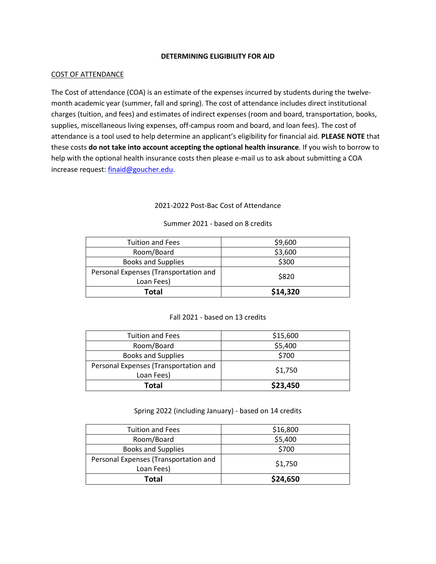## **DETERMINING ELIGIBILITY FOR AID**

## COST OF ATTENDANCE

The Cost of attendance (COA) is an estimate of the expenses incurred by students during the twelvemonth academic year (summer, fall and spring). The cost of attendance includes direct institutional charges (tuition, and fees) and estimates of indirect expenses (room and board, transportation, books, supplies, miscellaneous living expenses, off-campus room and board, and loan fees). The cost of attendance is a tool used to help determine an applicant's eligibility for financial aid. **PLEASE NOTE** that these costs **do not take into account accepting the optional health insurance**. If you wish to borrow to help with the optional health insurance costs then please e-mail us to ask about submitting a COA increase request[: finaid@goucher.edu.](mailto:finaid@goucher.edu)

# 2021-2022 Post-Bac Cost of Attendance

| <b>Tuition and Fees</b>               | \$9,600  |
|---------------------------------------|----------|
| Room/Board                            | \$3,600  |
| <b>Books and Supplies</b>             | \$300    |
| Personal Expenses (Transportation and | \$820    |
| Loan Fees)                            |          |
| Total                                 | \$14,320 |

## Summer 2021 - based on 8 credits

## Fall 2021 - based on 13 credits

| <b>Tuition and Fees</b>               | \$15,600 |
|---------------------------------------|----------|
| Room/Board                            | \$5,400  |
| <b>Books and Supplies</b>             | \$700    |
| Personal Expenses (Transportation and | \$1,750  |
| Loan Fees)                            |          |
| Total                                 | \$23,450 |

Spring 2022 (including January) - based on 14 credits

| <b>Tuition and Fees</b>               | \$16,800 |
|---------------------------------------|----------|
| Room/Board                            | \$5,400  |
| <b>Books and Supplies</b>             | \$700    |
| Personal Expenses (Transportation and | \$1,750  |
| Loan Fees)                            |          |
| Total                                 | \$24,650 |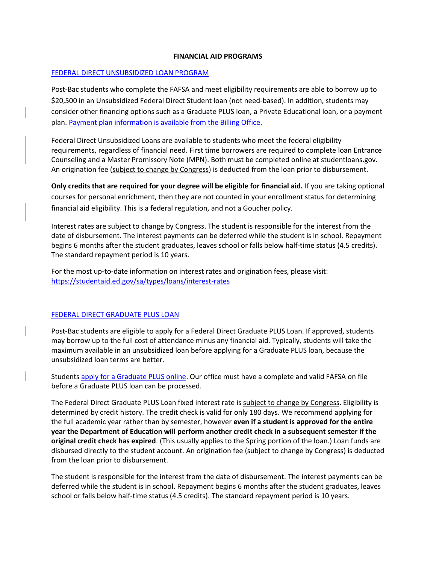## **FINANCIAL AID PROGRAMS**

## [FEDERAL DIRECT UNSUBSIDIZED LOAN PROGRAM](https://studentaid.ed.gov/sa/types/loans)

Post-Bac students who complete the FAFSA and meet eligibility requirements are able to borrow up to \$20,500 in an Unsubsidized Federal Direct Student loan (not need-based). In addition, students may consider other financing options such as a Graduate PLUS loan, a Private Educational loan, or a payment plan. [Payment plan information is available from the Billing Office.](https://www.goucher.edu/billing/payment-options)

Federal Direct Unsubsidized Loans are available to students who meet the federal eligibility requirements, regardless of financial need. First time borrowers are required to complete loan Entrance Counseling and a Master Promissory Note (MPN). Both must be completed online at studentloans.gov. An origination fee (subject to change by Congress) is deducted from the loan prior to disbursement.

**Only credits that are required for your degree will be eligible for financial aid.** If you are taking optional courses for personal enrichment, then they are not counted in your enrollment status for determining financial aid eligibility. This is a federal regulation, and not a Goucher policy.

Interest rates are subject to change by Congress. The student is responsible for the interest from the date of disbursement. The interest payments can be deferred while the student is in school. Repayment begins 6 months after the student graduates, leaves school or falls below half-time status (4.5 credits). The standard repayment period is 10 years.

For the most up-to-date information on interest rates and origination fees, please visit: <https://studentaid.ed.gov/sa/types/loans/interest-rates>

## [FEDERAL DIRECT GRADUATE PLUS LOAN](https://studentaid.ed.gov/sa/types/loans/plus)

Post-Bac students are eligible to apply for a Federal Direct Graduate PLUS Loan. If approved, students may borrow up to the full cost of attendance minus any financial aid. Typically, students will take the maximum available in an unsubsidized loan before applying for a Graduate PLUS loan, because the unsubsidized loan terms are better.

Students [apply for a Graduate PLUS online.](https://studentaid.gov/app/launchPLUS.action?plusType=gradPlus) Our office must have a complete and valid FAFSA on file before a Graduate PLUS loan can be processed.

The Federal Direct Graduate PLUS Loan fixed interest rate is subject to change by Congress. Eligibility is determined by credit history. The credit check is valid for only 180 days. We recommend applying for the full academic year rather than by semester, however **even if a student is approved for the entire year the Department of Education will perform another credit check in a subsequent semester if the original credit check has expired**. (This usually applies to the Spring portion of the loan.) Loan funds are disbursed directly to the student account. An origination fee (subject to change by Congress) is deducted from the loan prior to disbursement.

The student is responsible for the interest from the date of disbursement. The interest payments can be deferred while the student is in school. Repayment begins 6 months after the student graduates, leaves school or falls below half-time status (4.5 credits). The standard repayment period is 10 years.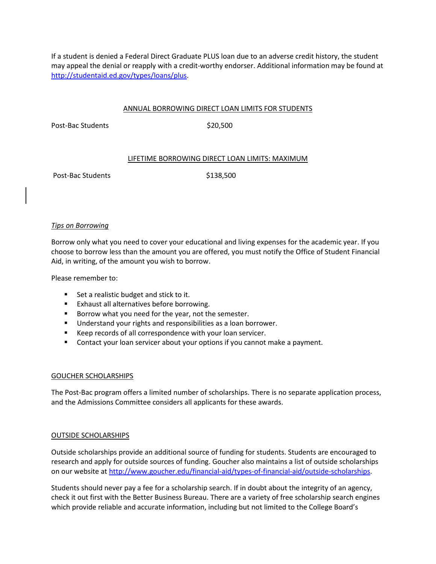If a student is denied a Federal Direct Graduate PLUS loan due to an adverse credit history, the student may appeal the denial or reapply with a credit-worthy endorser. Additional information may be found at [http://studentaid.ed.gov/types/loans/plus.](http://studentaid.ed.gov/types/loans/plus)

## ANNUAL BORROWING DIRECT LOAN LIMITS FOR STUDENTS

Post-Bac Students \$20,500

## LIFETIME BORROWING DIRECT LOAN LIMITS: MAXIMUM

Post-Bac Students \$138,500

## *Tips on Borrowing*

Borrow only what you need to cover your educational and living expenses for the academic year. If you choose to borrow less than the amount you are offered, you must notify the Office of Student Financial Aid, in writing, of the amount you wish to borrow.

Please remember to:

- Set a realistic budget and stick to it.
- Exhaust all alternatives before borrowing.
- Borrow what you need for the year, not the semester.
- Understand your rights and responsibilities as a loan borrower.
- Keep records of all correspondence with your loan servicer.
- Contact your loan servicer about your options if you cannot make a payment.

## GOUCHER SCHOLARSHIPS

The Post-Bac program offers a limited number of scholarships. There is no separate application process, and the Admissions Committee considers all applicants for these awards.

## OUTSIDE SCHOLARSHIPS

Outside scholarships provide an additional source of funding for students. Students are encouraged to research and apply for outside sources of funding. Goucher also maintains a list of outside scholarships on our website at [http://www.goucher.edu/financial-aid/types-of-financial-aid/outside-scholarships.](http://www.goucher.edu/financial-aid/types-of-financial-aid/outside-scholarships)

Students should never pay a fee for a scholarship search. If in doubt about the integrity of an agency, check it out first with the Better Business Bureau. There are a variety of free scholarship search engines which provide reliable and accurate information, including but not limited to the College Board's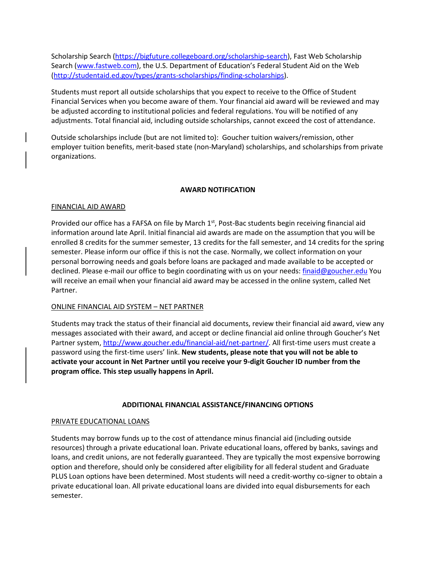Scholarship Search [\(https://bigfuture.collegeboard.org/scholarship-search\)](https://bigfuture.collegeboard.org/scholarship-search), Fast Web Scholarship Search [\(www.fastweb.com](http://www.fastweb.com/)), the U.S. Department of Education's Federal Student Aid on the Web [\(http://studentaid.ed.gov/types/grants-scholarships/finding-scholarships\)](http://studentaid.ed.gov/types/grants-scholarships/finding-scholarships).

Students must report all outside scholarships that you expect to receive to the Office of Student Financial Services when you become aware of them. Your financial aid award will be reviewed and may be adjusted according to institutional policies and federal regulations. You will be notified of any adjustments. Total financial aid, including outside scholarships, cannot exceed the cost of attendance.

Outside scholarships include (but are not limited to): Goucher tuition waivers/remission, other employer tuition benefits, merit-based state (non-Maryland) scholarships, and scholarships from private organizations.

## **AWARD NOTIFICATION**

## FINANCIAL AID AWARD

Provided our office has a FAFSA on file by March  $1<sup>st</sup>$ , Post-Bac students begin receiving financial aid information around late April. Initial financial aid awards are made on the assumption that you will be enrolled 8 credits for the summer semester, 13 credits for the fall semester, and 14 credits for the spring semester. Please inform our office if this is not the case. Normally, we collect information on your personal borrowing needs and goals before loans are packaged and made available to be accepted or declined. Please e-mail our office to begin coordinating with us on your needs: [finaid@goucher.edu](mailto:finaid@goucher.edu) You will receive an email when your financial aid award may be accessed in the online system, called Net Partner.

## ONLINE FINANCIAL AID SYSTEM – NET PARTNER

Students may track the status of their financial aid documents, review their financial aid award, view any messages associated with their award, and accept or decline financial aid online through Goucher's Net Partner system, [http://www.goucher.edu/financial-aid/net-partner/.](http://www.goucher.edu/financial-aid/net-partner/) All first-time users must create a password using the first-time users' link. **New students, please note that you will not be able to activate your account in Net Partner until you receive your 9-digit Goucher ID number from the program office. This step usually happens in April.**

## **ADDITIONAL FINANCIAL ASSISTANCE/FINANCING OPTIONS**

## PRIVATE EDUCATIONAL LOANS

Students may borrow funds up to the cost of attendance minus financial aid (including outside resources) through a private educational loan. Private educational loans, offered by banks, savings and loans, and credit unions, are not federally guaranteed. They are typically the most expensive borrowing option and therefore, should only be considered after eligibility for all federal student and Graduate PLUS Loan options have been determined. Most students will need a credit-worthy co-signer to obtain a private educational loan. All private educational loans are divided into equal disbursements for each semester.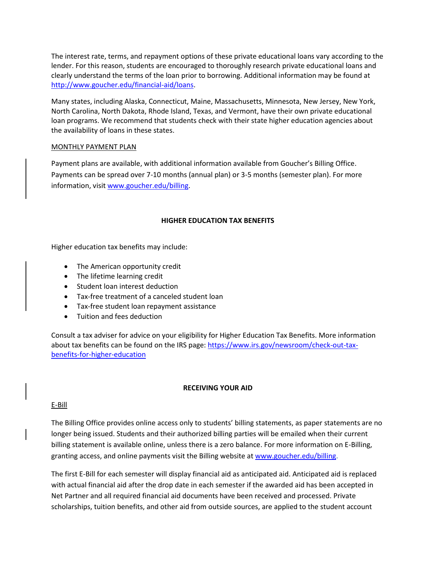The interest rate, terms, and repayment options of these private educational loans vary according to the lender. For this reason, students are encouraged to thoroughly research private educational loans and clearly understand the terms of the loan prior to borrowing. Additional information may be found at [http://www.goucher.edu/financial-aid/loans.](http://www.goucher.edu/financial-aid/loans)

Many states, including Alaska, Connecticut, Maine, Massachusetts, Minnesota, New Jersey, New York, North Carolina, North Dakota, Rhode Island, Texas, and Vermont, have their own private educational loan programs. We recommend that students check with their state higher education agencies about the availability of loans in these states.

## MONTHLY PAYMENT PLAN

Payment plans are available, with additional information available from Goucher's Billing Office. Payments can be spread over 7-10 months (annual plan) or 3-5 months (semester plan). For more information, visit [www.goucher.edu/billing.](http://www.goucher.edu/billing)

# **HIGHER EDUCATION TAX BENEFITS**

Higher education tax benefits may include:

- The American opportunity credit
- The lifetime learning credit
- Student loan interest deduction
- Tax-free treatment of a canceled student loan
- Tax-free student loan repayment assistance
- Tuition and fees deduction

Consult a tax adviser for advice on your eligibility for Higher Education Tax Benefits. More information about tax benefits can be found on the IRS page[: https://www.irs.gov/newsroom/check-out-tax](https://www.irs.gov/newsroom/check-out-tax-benefits-for-higher-education)[benefits-for-higher-education](https://www.irs.gov/newsroom/check-out-tax-benefits-for-higher-education)

## **RECEIVING YOUR AID**

## E-Bill

The Billing Office provides online access only to students' billing statements, as paper statements are no longer being issued. Students and their authorized billing parties will be emailed when their current billing statement is available online, unless there is a zero balance. For more information on E-Billing, granting access, and online payments visit the Billing website at [www.goucher.edu/billing.](http://www.goucher.edu/billing)

The first E-Bill for each semester will display financial aid as anticipated aid. Anticipated aid is replaced with actual financial aid after the drop date in each semester if the awarded aid has been accepted in Net Partner and all required financial aid documents have been received and processed. Private scholarships, tuition benefits, and other aid from outside sources, are applied to the student account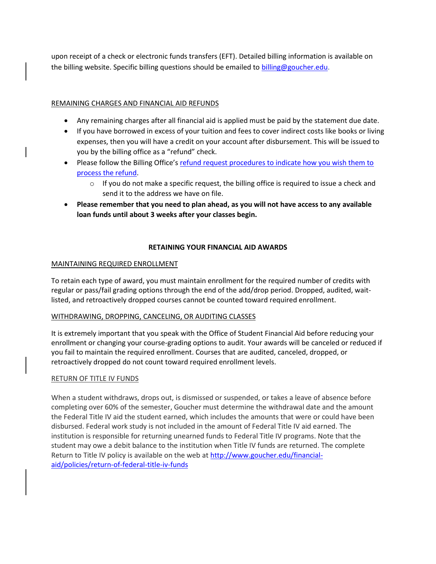upon receipt of a check or electronic funds transfers (EFT). Detailed billing information is available on the billing website. Specific billing questions should be emailed to [billing@goucher.edu.](mailto:billing@goucher.edu)

# REMAINING CHARGES AND FINANCIAL AID REFUNDS

- Any remaining charges after all financial aid is applied must be paid by the statement due date.
- If you have borrowed in excess of your tuition and fees to cover indirect costs like books or living expenses, then you will have a credit on your account after disbursement. This will be issued to you by the billing office as a "refund" check.
- Please follow the Billing Office's [refund request procedures to indicate how you wish them to](https://www.goucher.edu/billing/refund-policy/request-for-refund)  [process the refund.](https://www.goucher.edu/billing/refund-policy/request-for-refund)
	- $\circ$  If you do not make a specific request, the billing office is required to issue a check and send it to the address we have on file.
- **Please remember that you need to plan ahead, as you will not have access to any available loan funds until about 3 weeks after your classes begin.**

## **RETAINING YOUR FINANCIAL AID AWARDS**

## MAINTAINING REQUIRED ENROLLMENT

To retain each type of award, you must maintain enrollment for the required number of credits with regular or pass/fail grading options through the end of the add/drop period. Dropped, audited, waitlisted, and retroactively dropped courses cannot be counted toward required enrollment.

## WITHDRAWING, DROPPING, CANCELING, OR AUDITING CLASSES

It is extremely important that you speak with the Office of Student Financial Aid before reducing your enrollment or changing your course-grading options to audit. Your awards will be canceled or reduced if you fail to maintain the required enrollment. Courses that are audited, canceled, dropped, or retroactively dropped do not count toward required enrollment levels.

## RETURN OF TITLE IV FUNDS

When a student withdraws, drops out, is dismissed or suspended, or takes a leave of absence before completing over 60% of the semester, Goucher must determine the withdrawal date and the amount the Federal Title IV aid the student earned, which includes the amounts that were or could have been disbursed. Federal work study is not included in the amount of Federal Title IV aid earned. The institution is responsible for returning unearned funds to Federal Title IV programs. Note that the student may owe a debit balance to the institution when Title IV funds are returned. The complete Return to Title IV policy is available on the web at [http://www.goucher.edu/financial](http://www.goucher.edu/financial-aid/policies/return-of-federal-title-iv-funds)[aid/policies/return-of-federal-title-iv-funds](http://www.goucher.edu/financial-aid/policies/return-of-federal-title-iv-funds)